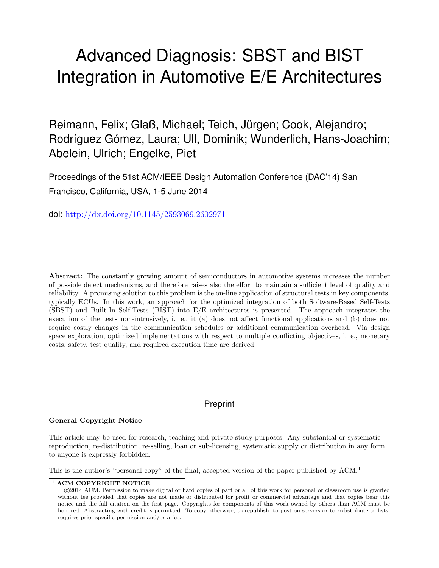# Advanced Diagnosis: SBST and BIST Integration in Automotive E/E Architectures

Reimann, Felix; Glaß, Michael; Teich, Jürgen; Cook, Alejandro; Rodríguez Gómez, Laura; Ull, Dominik; Wunderlich, Hans-Joachim; Abelein, Ulrich; Engelke, Piet

Proceedings of the 51st ACM/IEEE Design Automation Conference (DAC'14) San Francisco, California, USA, 1-5 June 2014

doi: <http://dx.doi.org/10.1145/2593069.2602971>

Abstract: The constantly growing amount of semiconductors in automotive systems increases the number of possible defect mechanisms, and therefore raises also the effort to maintain a sufficient level of quality and reliability. A promising solution to this problem is the on-line application of structural tests in key components, typically ECUs. In this work, an approach for the optimized integration of both Software-Based Self-Tests (SBST) and Built-In Self-Tests (BIST) into E/E architectures is presented. The approach integrates the execution of the tests non-intrusively, i. e., it (a) does not affect functional applications and (b) does not require costly changes in the communication schedules or additional communication overhead. Via design space exploration, optimized implementations with respect to multiple conflicting objectives, i. e., monetary costs, safety, test quality, and required execution time are derived.

# Preprint

# General Copyright Notice

This article may be used for research, teaching and private study purposes. Any substantial or systematic reproduction, re-distribution, re-selling, loan or sub-licensing, systematic supply or distribution in any form to anyone is expressly forbidden.

This is the author's "personal copy" of the final, accepted version of the paper published by ACM.<sup>[1](#page-0-0)</sup>

<span id="page-0-0"></span><sup>&</sup>lt;sup>1</sup> ACM COPYRIGHT NOTICE

c 2014 ACM. Permission to make digital or hard copies of part or all of this work for personal or classroom use is granted without fee provided that copies are not made or distributed for profit or commercial advantage and that copies bear this notice and the full citation on the first page. Copyrights for components of this work owned by others than ACM must be honored. Abstracting with credit is permitted. To copy otherwise, to republish, to post on servers or to redistribute to lists, requires prior specific permission and/or a fee.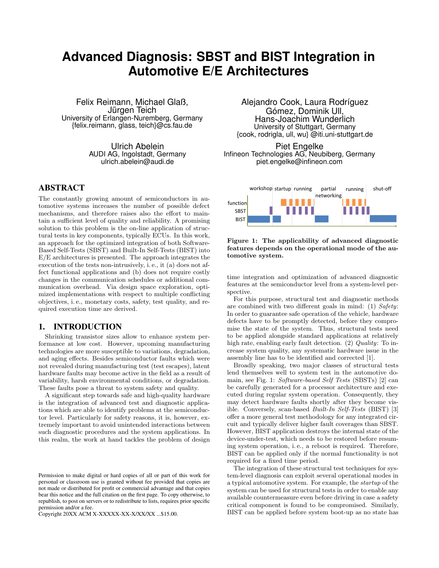# **Advanced Diagnosis: SBST and BIST Integration in Automotive E/E Architectures**

Felix Reimann, Michael Glaß, Jürgen Teich University of Erlangen-Nuremberg, Germany {felix.reimann, glass, teich}@cs.fau.de

> Ulrich Abelein AUDI AG, Ingolstadt, Germany ulrich.abelein@audi.de

# ABSTRACT

The constantly growing amount of semiconductors in automotive systems increases the number of possible defect mechanisms, and therefore raises also the effort to maintain a sufficient level of quality and reliability. A promising solution to this problem is the on-line application of structural tests in key components, typically ECUs. In this work, an approach for the optimized integration of both Software-Based Self-Tests (SBST) and Built-In Self-Tests (BIST) into E/E architectures is presented. The approach integrates the execution of the tests non-intrusively, i. e., it (a) does not affect functional applications and (b) does not require costly changes in the communication schedules or additional communication overhead. Via design space exploration, optimized implementations with respect to multiple conflicting objectives, i. e., monetary costs, safety, test quality, and required execution time are derived.

# 1. INTRODUCTION

Shrinking transistor sizes allow to enhance system performance at low cost. However, upcoming manufacturing technologies are more susceptible to variations, degradation, and aging effects. Besides semiconductor faults which were not revealed during manufacturing test (test escapes), latent hardware faults may become active in the field as a result of variability, harsh environmental conditions, or degradation. These faults pose a threat to system safety and quality.

A significant step towards safe and high-quality hardware is the integration of advanced test and diagnostic applications which are able to identify problems at the semiconductor level. Particularly for safety reasons, it is, however, extremely important to avoid unintended interactions between such diagnostic procedures and the system applications. In this realm, the work at hand tackles the problem of design

Copyright 20XX ACM X-XXXXX-XX-X/XX/XX ...\$15.00.

Alejandro Cook, Laura Rodríguez Gómez, Dominik Ull, Hans-Joachim Wunderlich University of Stuttgart, Germany {cook, rodrigla, ull, wu} @iti.uni-stuttgart.de

Piet Engelke Infineon Technologies AG, Neubiberg, Germany piet.engelke@infineon.com





time integration and optimization of advanced diagnostic features at the semiconductor level from a system-level perspective.

For this purpose, structural test and diagnostic methods are combined with two different goals in mind: (1) Safety: In order to guarantee safe operation of the vehicle, hardware defects have to be promptly detected, before they compromise the state of the system. Thus, structural tests need to be applied alongside standard applications at relatively high rate, enabling early fault detection. (2) Quality: To increase system quality, any systematic hardware issue in the assembly line has to be identified and corrected [1].

Broadly speaking, two major classes of structural tests lend themselves well to system test in the automotive domain, see Fig. 1: Software-based Self Tests (SBSTs) [2] can be carefully generated for a processor architecture and executed during regular system operation. Consequently, they may detect hardware faults shortly after they become visible. Conversely, scan-based Built-In Self-Tests (BIST) [3] offer a more general test methodology for any integrated circuit and typically deliver higher fault coverages than SBST. However, BIST application destroys the internal state of the device-under-test, which needs to be restored before resuming system operation, i. e., a reboot is required. Therefore, BIST can be applied only if the normal functionality is not required for a fixed time period.

The integration of these structural test techniques for system-level diagnosis can exploit several operational modes in a typical automotive system. For example, the startup of the system can be used for structural tests in order to enable any available countermeasure even before driving in case a safety critical component is found to be compromised. Similarly, BIST can be applied before system boot-up as no state has

Permission to make digital or hard copies of all or part of this work for personal or classroom use is granted without fee provided that copies are not made or distributed for profit or commercial advantage and that copies bear this notice and the full citation on the first page. To copy otherwise, to republish, to post on servers or to redistribute to lists, requires prior specific permission and/or a fee.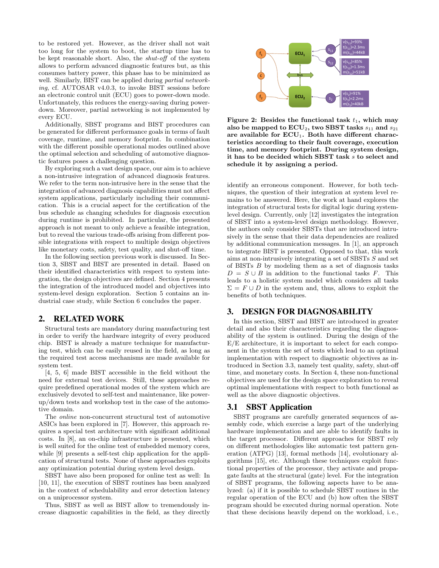to be restored yet. However, as the driver shall not wait too long for the system to boot, the startup time has to be kept reasonable short. Also, the shut-off of the system allows to perform advanced diagnostic features but, as this consumes battery power, this phase has to be minimized as well. Similarly, BIST can be applied during *partial network*ing, cf. AUTOSAR v4.0.3, to invoke BIST sessions before an electronic control unit (ECU) goes to power-down mode. Unfortunately, this reduces the energy-saving during powerdown. Moreover, partial networking is not implemented by every ECU.

Additionally, SBST programs and BIST procedures can be generated for different performance goals in terms of fault coverage, runtime, and memory footprint. In combination with the different possible operational modes outlined above the optimal selection and scheduling of automotive diagnostic features poses a challenging question.

By exploring such a vast design space, our aim is to achieve a non-intrusive integration of advanced diagnosis features. We refer to the term non-intrusive here in the sense that the integration of advanced diagnosis capabilities must not affect system applications, particularly including their communication. This is a crucial aspect for the certification of the bus schedule as changing schedules for diagnosis execution during runtime is prohibited. In particular, the presented approach is not meant to only achieve a feasible integration, but to reveal the various trade-offs arising from different possible integrations with respect to multiple design objectives like monetary costs, safety, test quality, and shut-off time.

In the following section previous work is discussed. In Section 3, SBST and BIST are presented in detail. Based on their identified characteristics with respect to system integration, the design objectives are defined. Section 4 presents the integration of the introduced model and objectives into system-level design exploration. Section 5 contains an industrial case study, while Section 6 concludes the paper.

# 2. RELATED WORK

Structural tests are mandatory during manufacturing test in order to verify the hardware integrity of every produced chip. BIST is already a mature technique for manufacturing test, which can be easily reused in the field, as long as the required test access mechanisms are made available for system test.

[4, 5, 6] made BIST accessible in the field without the need for external test devices. Still, these approaches require predefined operational modes of the system which are exclusively devoted to self-test and maintenance, like powerup/down tests and workshop test in the case of the automotive domain.

The online non-concurrent structural test of automotive ASICs has been explored in [7]. However, this approach requires a special test architecture with significant additional costs. In [8], an on-chip infrastructure is presented, which is well suited for the online test of embedded memory cores, while [9] presents a self-test chip application for the application of structural tests. None of these approaches exploits any optimization potential during system level design.

SBST have also been proposed for online test as well: In [10, 11], the execution of SBST routines has been analyzed in the context of schedulability and error detection latency on a uniprocessor system.

Thus, SBST as well as BIST allow to tremendously increase diagnostic capabilities in the field, as they directly



Figure 2: Besides the functional task  $t_1$ , which may also be mapped to  $ECU_2$ , two SBST tasks  $s_{11}$  and  $s_{21}$ are available for  $ECU_1$ . Both have different characteristics according to their fault coverage, execution time, and memory footprint. During system design, it has to be decided which SBST task s to select and schedule it by assigning a period.

identify an erroneous component. However, for both techniques, the question of their integration at system level remains to be answered. Here, the work at hand explores the integration of structural tests for digital logic during systemlevel design. Currently, only [12] investigates the integration of SBST into a system-level design methodology. However, the authors only consider SBSTs that are introduced intrusively in the sense that their data dependencies are realized by additional communication messages. In [1], an approach to integrate BIST is presented. Opposed to that, this work aims at non-intrusively integrating a set of SBSTs S and set of BISTs  $B$  by modeling them as a set of diagnosis tasks  $D = S \cup B$  in addition to the functional tasks F. This leads to a holistic system model which considers all tasks  $\Sigma = F \cup D$  in the system and, thus, allows to exploit the benefits of both techniques.

# 3. DESIGN FOR DIAGNOSABILITY

In this section, SBST and BIST are introduced in greater detail and also their characteristics regarding the diagnosability of the system is outlined. During the design of the E/E architecture, it is important to select for each component in the system the set of tests which lead to an optimal implementation with respect to diagnostic objectives as introduced in Section 3.3, namely test quality, safety, shut-off time, and monetary costs. In Section 4, these non-functional objectives are used for the design space exploration to reveal optimal implementations with respect to both functional as well as the above diagnostic objectives.

#### 3.1 SBST Application

SBST programs are carefully generated sequences of assembly code, which exercise a large part of the underlying hardware implementation and are able to identify faults in the target processor. Different approaches for SBST rely on different methodologies like automatic test pattern generation (ATPG) [13], formal methods [14], evolutionary algorithms [15], etc. Although these techniques exploit functional properties of the processor, they activate and propagate faults at the structural (gate) level. For the integration of SBST programs, the following aspects have to be analyzed: (a) if it is possible to schedule SBST routines in the regular operation of the ECU and (b) how often the SBST program should be executed during normal operation. Note that these decisions heavily depend on the workload, i. e.,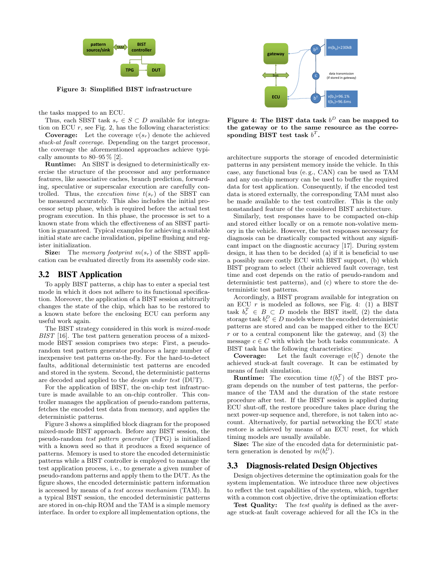

Figure 3: Simplified BIST infrastructure

the tasks mapped to an ECU.

Thus, each SBST task  $s_r \in S \subset D$  available for integration on ECU  $r$ , see Fig. 2, has the following characteristics:

**Coverage:** Let the coverage  $v(s_r)$  denote the achieved stuck-at fault coverage. Depending on the target processor, the coverage the aforementioned approaches achieve typically amounts to  $80-95\%$  [2].

Runtime: An SBST is designed to deterministically exercise the structure of the processor and any performance features, like associative caches, branch prediction, forwarding, speculative or superscalar execution are carefully controlled. Thus, the execution time  $t(s_r)$  of the SBST can be measured accurately. This also includes the initial processor setup phase, which is required before the actual test program execution. In this phase, the processor is set to a known state from which the effectiveness of an SBST partition is guaranteed. Typical examples for achieving a suitable initial state are cache invalidation, pipeline flushing and register initialization.

**Size:** The memory footprint  $m(s_r)$  of the SBST application can be evaluated directly from its assembly code size.

#### 3.2 BIST Application

To apply BIST patterns, a chip has to enter a special test mode in which it does not adhere to its functional specification. Moreover, the application of a BIST session arbitrarily changes the state of the chip, which has to be restored to a known state before the enclosing ECU can perform any useful work again.

The BIST strategy considered in this work is mixed-mode BIST [16]. The test pattern generation process of a mixedmode BIST session comprises two steps: First, a pseudorandom test pattern generator produces a large number of inexpensive test patterns on-the-fly. For the hard-to-detect faults, additional deterministic test patterns are encoded and stored in the system. Second, the deterministic patterns are decoded and applied to the design under test (DUT).

For the application of BIST, the on-chip test infrastructure is made available to an on-chip controller. This controller manages the application of pseudo-random patterns, fetches the encoded test data from memory, and applies the deterministic patterns.

Figure 3 shows a simplified block diagram for the proposed mixed-mode BIST approach. Before any BIST session, the pseudo-random test pattern generator (TPG) is initialized with a known seed so that it produces a fixed sequence of patterns. Memory is used to store the encoded deterministic patterns while a BIST controller is employed to manage the test application process, i. e., to generate a given number of pseudo-random patterns and apply them to the DUT. As the figure shows, the encoded deterministic pattern information is accessed by means of a test access mechanism (TAM). In a typical BIST session, the encoded deterministic patterns are stored in on-chip ROM and the TAM is a simple memory interface. In order to explore all implementation options, the



Figure 4: The BIST data task  $b^D$  can be mapped to the gateway or to the same resource as the corresponding BIST test task  $b^T$ .

architecture supports the storage of encoded deterministic patterns in any persistent memory inside the vehicle. In this case, any functional bus (e. g., CAN) can be used as TAM and any on-chip memory can be used to buffer the required data for test application. Consequently, if the encoded test data is stored externally, the corresponding TAM must also be made available to the test controller. This is the only nonstandard feature of the considered BIST architecture.

Similarly, test responses have to be compacted on-chip and stored either locally or on a remote non-volative memory in the vehicle. However, the test responses necessary for diagnosis can be drastically compacted without any significant impact on the diagnostic accuracy [17]. During system design, it has then to be decided (a) if it is beneficial to use a possibly more costly ECU with BIST support, (b) which BIST program to select (their achieved fault coverage, test time and cost depends on the ratio of pseudo-random and deterministic test patterns), and (c) where to store the deterministic test patterns.

Accordingly, a BIST program available for integration on an ECU  $r$  is modeled as follows, see Fig. 4: (1) a BIST task  $b_r^T \in B \subset D$  models the BIST itself, (2) the data storage task  $b_r^D \in D$  models where the encoded deterministic patterns are stored and can be mapped either to the ECU  $r$  or to a central component like the gateway, and  $(3)$  the message  $c \in C$  with which the both tasks communicate. A BIST task has the following characteristics:

**Coverage:** Let the fault coverage  $v(b_r^T)$  denote the achieved stuck-at fault coverage. It can be estimated by means of fault simulation.

**Runtime:** The execution time  $t(b_r^T)$  of the BIST program depends on the number of test patterns, the performance of the TAM and the duration of the state restore procedure after test. If the BIST session is applied during ECU shut-off, the restore procedure takes place during the next power-up sequence and, therefore, is not taken into account. Alternatively, for partial networking the ECU state restore is achieved by means of an ECU reset, for which timing models are usually available.

Size: The size of the encoded data for deterministic pattern generation is denoted by  $m(b_r^D)$ .

#### 3.3 Diagnosis-related Design Objectives

Design objectives determine the optimization goals for the system implementation. We introduce three new objectives to reflect the test capabilities of the system, which, together with a common cost objective, drive the optimization efforts:

Test Quality: The test quality is defined as the average stuck-at fault coverage achieved for all the ICs in the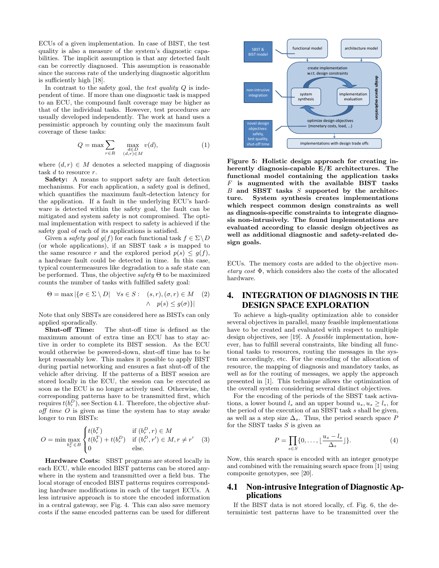ECUs of a given implementation. In case of BIST, the test quality is also a measure of the system's diagnostic capabilities. The implicit assumption is that any detected fault can be correctly diagnosed. This assumption is reasonable since the success rate of the underlying diagnostic algorithm is sufficiently high [18].

In contrast to the safety goal, the test quality  $Q$  is independent of time. If more than one diagnostic task is mapped to an ECU, the compound fault coverage may be higher as that of the individual tasks. However, test procedures are usually developed independently. The work at hand uses a pessimistic approach by counting only the maximum fault coverage of these tasks:

$$
Q = \max \sum_{r \in R} \max_{\substack{d \in D \\ (d,r) \in M}} v(d), \tag{1}
$$

where  $(d, r) \in M$  denotes a selected mapping of diagnosis task  $d$  to resource  $r$ .

Safety: A means to support safety are fault detection mechanisms. For each application, a safety goal is defined, which quantifies the maximum fault-detection latency for the application. If a fault in the underlying ECU's hardware is detected within the safety goal, the fault can be mitigated and system safety is not compromised. The optimal implementation with respect to safety is achieved if the safety goal of each of its applications is satisfied.

Given a safety goal  $q(f)$  for each functional task  $f \in \Sigma \backslash D$ (or whole applications), if an SBST task s is mapped to the same resource r and the explored period  $p(s) \leq g(f)$ , a hardware fault could be detected in time. In this case, typical countermeasures like degradation to a safe state can be performed. Thus, the objective safety  $\Theta$  to be maximized counts the number of tasks with fulfilled safety goal:

$$
\Theta = \max |\{\sigma \in \Sigma \setminus D| \quad \forall s \in S : \quad (s, r), (\sigma, r) \in M \quad (2) \quad \land \quad p(s) \le g(\sigma)\}|
$$

Note that only SBSTs are considered here as BISTs can only applied sporadically.

Shut-off Time: The shut-off time is defined as the maximum amount of extra time an ECU has to stay active in order to complete its BIST session. As the ECU would otherwise be powered-down, shut-off time has to be kept reasonably low. This makes it possible to apply BIST during partial networking and ensures a fast shut-off of the vehicle after driving. If the patterns of a BIST session are stored locally in the ECU, the session can be executed as soon as the ECU is no longer actively used. Otherwise, the corresponding patterns have to be transmitted first, which requires  $t(b_r^D)$ , see Section 4.1. Therefore, the objective shut- $\alpha$  off time  $\hat{O}$  is given as time the system has to stay awake longer to run BISTs:

$$
O = \min \max_{b_r^T \in B} \begin{cases} t(b_r^T) & \text{if } (b_r^D, r) \in M \\ t(b_r^T) + t(b_r^D) & \text{if } (b_r^D, r') \in M, r \neq r' \\ 0 & \text{else.} \end{cases}
$$
(3)

Hardware Costs: SBST programs are stored locally in each ECU, while encoded BIST patterns can be stored anywhere in the system and transmitted over a field bus. The local storage of encoded BIST patterns requires corresponding hardware modifications in each of the target ECUs. A less intrusive approach is to store the encoded information in a central gateway, see Fig. 4. This can also save memory costs if the same encoded patterns can be used for different



Figure 5: Holistic design approach for creating inherently diagnosis-capable E/E architectures. The functional model containing the application tasks  $F$  is augmented with the available BIST tasks  $B$  and SBST tasks  $S$  supported by the architecture. System synthesis creates implementations which respect common design constraints as well as diagnosis-specific constraints to integrate diagnosis non-intrusively. The found implementations are evaluated according to classic design objectives as well as additional diagnostic and safety-related design goals.

ECUs. The memory costs are added to the objective monetary cost  $\Phi$ , which considers also the costs of the allocated hardware.

# 4. INTEGRATION OF DIAGNOSIS IN THE DESIGN SPACE EXPLORATION

To achieve a high-quality optimization able to consider several objectives in parallel, many feasible implementations have to be created and evaluated with respect to multiple design objectives, see [19]. A feasible implementation, however, has to fulfill several constraints, like binding all functional tasks to resources, routing the messages in the system accordingly, etc. For the encoding of the allocation of resource, the mapping of diagnosis and mandatory tasks, as well as for the routing of messages, we apply the approach presented in [1]. This technique allows the optimization of the overall system considering several distinct objectives.

For the encoding of the periods of the SBST task activations, a lower bound  $l_s$  and an upper bound  $u_s, u_s \ge l_s$ , for the period of the execution of an SBST task s shall be given, as well as a step size  $\Delta_s$ . Thus, the period search space P for the SBST tasks  $S$  is given as

$$
P = \prod_{s \in S} \{0, \dots, \lfloor \frac{u_s - l_s}{\Delta_s} \rfloor\}.
$$
 (4)

Now, this search space is encoded with an integer genotype and combined with the remaining search space from [1] using composite genotypes, see [20].

# 4.1 Non-intrusive Integration of Diagnostic Applications

If the BIST data is not stored locally, cf. Fig. 6, the deterministic test patterns have to be transmitted over the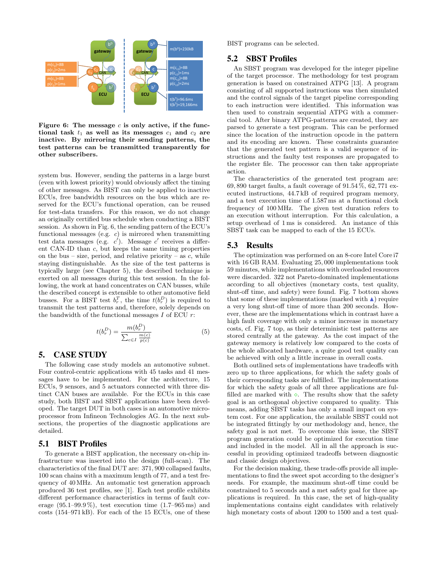

Figure 6: The message  $c$  is only active, if the functional task  $t_1$  as well as its messages  $c_1$  and  $c_2$  are inactive. By mirroring their sending patterns, the test patterns can be transmitted transparently for other subscribers.

system bus. However, sending the patterns in a large burst (even with lowest priority) would obviously affect the timing of other messages. As BIST can only be applied to inactive ECUs, free bandwidth resources on the bus which are reserved for the ECU's functional operation, can be reused for test-data transfers. For this reason, we do not change an originally certified bus schedule when conducting a BIST session. As shown in Fig. 6, the sending pattern of the ECU's functional messages (e.g.  $c$ ) is mirrored when transmitting test data messages (e.g.  $c'$ ). Message  $c'$  receives a different CAN-ID than c, but keeps the same timing properties on the bus – size, period, and relative priority – as  $c$ , while staying distinguishable. As the size of the test patterns is typically large (see Chapter 5), the described technique is exerted on all messages during this test session. In the following, the work at hand concentrates on CAN busses, while the described concept is extensible to other automotive field busses. For a BIST test  $b_r^T$ , the time  $t(b_r^D)$  is required to transmit the test patterns and, therefore, solely depends on the bandwidth of the functional messages  $I$  of ECU  $r$ :

$$
t(b_r^D) = \frac{m(b_r^D)}{\sum_{c \in I} \frac{m(c)}{p(c)}}
$$
(5)

# 5. CASE STUDY

The following case study models an automotive subnet. Four control-centric applications with 45 tasks and 41 messages have to be implemented. For the architecture, 15 ECUs, 9 sensors, and 5 actuators connected with three distinct CAN buses are available. For the ECUs in this case study, both BIST and SBST applications have been developed. The target DUT in both cases is an automotive microprocessor from Infineon Technologies AG. In the next subsections, the properties of the diagnostic applications are detailed.

#### 5.1 BIST Profiles

To generate a BIST application, the necessary on-chip infrastructure was inserted into the design (full-scan). The characteristics of the final DUT are: 371, 900 collapsed faults, 100 scan chains with a maximum length of 77, and a test frequency of 40 MHz. An automatic test generation approach produced 36 test profiles, see [1]. Each test profile exhibits different performance characteristics in terms of fault coverage  $(95.1-99.9\%)$ , test execution time  $(1.7-965 \text{ ms})$  and costs (154–971 kB). For each of the 15 ECUs, one of these BIST programs can be selected.

#### 5.2 SBST Profiles

An SBST program was developed for the integer pipeline of the target processor. The methodology for test program generation is based on constrained ATPG [13]. A program consisting of all supported instructions was then simulated and the control signals of the target pipeline corresponding to each instruction were identified. This information was then used to constrain sequential ATPG with a commercial tool. After binary ATPG-patterns are created, they are parsed to generate a test program. This can be performed since the location of the instruction opcode in the pattern and its encoding are known. These constraints guarantee that the generated test pattern is a valid sequence of instructions and the faulty test responses are propagated to the register file. The processor can then take appropriate action.

The characteristics of the generated test program are: 69, 890 target faults, a fault coverage of 91.54 %, 62, 771 executed instructions, 44.7 kB of required program memory, and a test execution time of 1.587 ms at a functional clock frequency of 100 MHz. The given test duration refers to an execution without interruption. For this calculation, a setup overhead of 1 ms is considered. An instance of this SBST task can be mapped to each of the 15 ECUs.

#### 5.3 Results

The optimization was performed on an 8-core Intel Core i7 with 16 GB RAM. Evaluating 25, 000 implementations took 59 minutes, while implementations with overloaded resources were discarded. 322 not Pareto-dominated implementations according to all objectives (monetary costs, test quality, shut-off time, and safety) were found. Fig. 7 bottom shows that some of these implementations (marked with  $\triangle$ ) require a very long shut-off time of more than 200 seconds. However, these are the implementations which in contrast have a high fault coverage with only a minor increase in monetary costs, cf. Fig. 7 top, as their deterministic test patterns are stored centrally at the gateway. As the cost impact of the gateway memory is relatively low compared to the costs of the whole allocated hardware, a quite good test quality can be achieved with only a little increase in overall costs.

Both outlined sets of implementations have tradeoffs with zero up to three applications, for which the safety goals of their corresponding tasks are fulfilled. The implementations for which the safety goals of all three applications are fulfilled are marked with  $\diamond.$  The results show that the safety goal is an orthogonal objective compared to quality. This means, adding SBST tasks has only a small impact on system cost. For one application, the available SBST could not be integrated fittingly by our methodology and, hence, the safety goal is not met. To overcome this issue, the SBST program generation could be optimized for execution time and included in the model. All in all the approach is successful in providing optimized tradeoffs between diagnostic and classic design objectives.

For the decision making, these trade-offs provide all implementations to find the sweet spot according to the designer's needs. For example, the maximum shut-off time could be constrained to 5 seconds and a met safety goal for three applications is required. In this case, the set of high-quality implementations contains eight candidates with relatively high monetary costs of about 1200 to 1500 and a test qual-